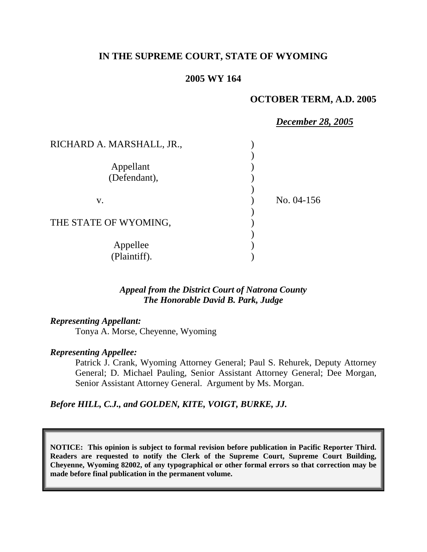### **IN THE SUPREME COURT, STATE OF WYOMING**

### **2005 WY 164**

### **OCTOBER TERM, A.D. 2005**

|                           | <b>December 28, 2005</b> |
|---------------------------|--------------------------|
| RICHARD A. MARSHALL, JR., |                          |
|                           |                          |
| Appellant                 |                          |
| (Defendant),              |                          |
|                           |                          |
| V.                        | No. 04-156               |
|                           |                          |
| THE STATE OF WYOMING,     |                          |
|                           |                          |
| Appellee                  |                          |
| (Plaintiff).              |                          |

### *Appeal from the District Court of Natrona County The Honorable David B. Park, Judge*

#### *Representing Appellant:*

Tonya A. Morse, Cheyenne, Wyoming

#### *Representing Appellee:*

Patrick J. Crank, Wyoming Attorney General; Paul S. Rehurek, Deputy Attorney General; D. Michael Pauling, Senior Assistant Attorney General; Dee Morgan, Senior Assistant Attorney General. Argument by Ms. Morgan.

### *Before HILL, C.J., and GOLDEN, KITE, VOIGT, BURKE, JJ.*

**NOTICE: This opinion is subject to formal revision before publication in Pacific Reporter Third. Readers are requested to notify the Clerk of the Supreme Court, Supreme Court Building, Cheyenne, Wyoming 82002, of any typographical or other formal errors so that correction may be made before final publication in the permanent volume.**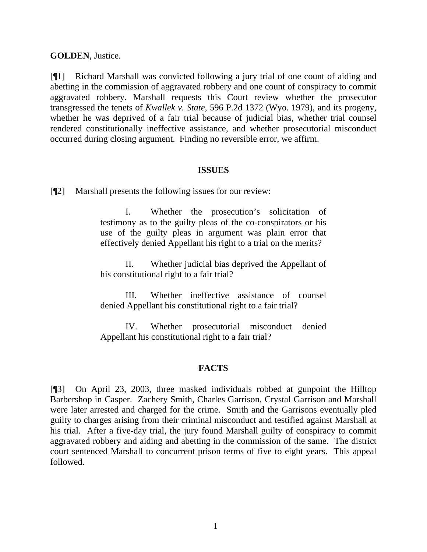**GOLDEN**, Justice.

[¶1] Richard Marshall was convicted following a jury trial of one count of aiding and abetting in the commission of aggravated robbery and one count of conspiracy to commit aggravated robbery. Marshall requests this Court review whether the prosecutor transgressed the tenets of *Kwallek v. State*, 596 P.2d 1372 (Wyo. 1979), and its progeny, whether he was deprived of a fair trial because of judicial bias, whether trial counsel rendered constitutionally ineffective assistance, and whether prosecutorial misconduct occurred during closing argument. Finding no reversible error, we affirm.

#### **ISSUES**

[¶2] Marshall presents the following issues for our review:

I. Whether the prosecution's solicitation of testimony as to the guilty pleas of the co-conspirators or his use of the guilty pleas in argument was plain error that effectively denied Appellant his right to a trial on the merits?

II. Whether judicial bias deprived the Appellant of his constitutional right to a fair trial?

III. Whether ineffective assistance of counsel denied Appellant his constitutional right to a fair trial?

IV. Whether prosecutorial misconduct denied Appellant his constitutional right to a fair trial?

### **FACTS**

[¶3] On April 23, 2003, three masked individuals robbed at gunpoint the Hilltop Barbershop in Casper. Zachery Smith, Charles Garrison, Crystal Garrison and Marshall were later arrested and charged for the crime. Smith and the Garrisons eventually pled guilty to charges arising from their criminal misconduct and testified against Marshall at his trial. After a five-day trial, the jury found Marshall guilty of conspiracy to commit aggravated robbery and aiding and abetting in the commission of the same. The district court sentenced Marshall to concurrent prison terms of five to eight years. This appeal followed.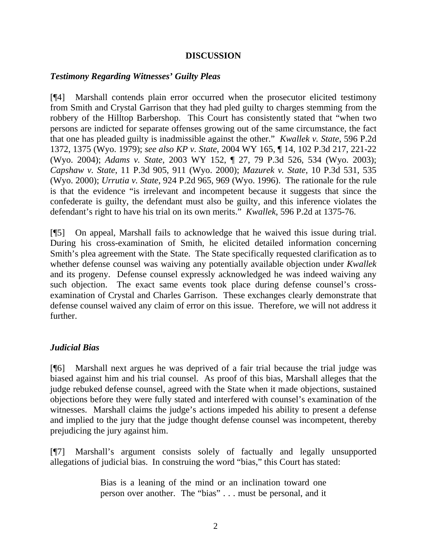### **DISCUSSION**

### *Testimony Regarding Witnesses' Guilty Pleas*

[¶4] Marshall contends plain error occurred when the prosecutor elicited testimony from Smith and Crystal Garrison that they had pled guilty to charges stemming from the robbery of the Hilltop Barbershop. This Court has consistently stated that "when two persons are indicted for separate offenses growing out of the same circumstance, the fact that one has pleaded guilty is inadmissible against the other." *Kwallek v. State*, 596 P.2d 1372, 1375 (Wyo. 1979); *see also KP v. State*, 2004 WY 165, ¶ 14, 102 P.3d 217, 221-22 (Wyo. 2004); *Adams v. State*, 2003 WY 152, ¶ 27, 79 P.3d 526, 534 (Wyo. 2003); *Capshaw v. State*, 11 P.3d 905, 911 (Wyo. 2000); *Mazurek v. State*, 10 P.3d 531, 535 (Wyo. 2000); *Urrutia v. State*, 924 P.2d 965, 969 (Wyo. 1996). The rationale for the rule is that the evidence "is irrelevant and incompetent because it suggests that since the confederate is guilty, the defendant must also be guilty, and this inference violates the defendant's right to have his trial on its own merits." *Kwallek*, 596 P.2d at 1375-76.

[¶5] On appeal, Marshall fails to acknowledge that he waived this issue during trial. During his cross-examination of Smith, he elicited detailed information concerning Smith's plea agreement with the State. The State specifically requested clarification as to whether defense counsel was waiving any potentially available objection under *Kwallek* and its progeny. Defense counsel expressly acknowledged he was indeed waiving any such objection. The exact same events took place during defense counsel's crossexamination of Crystal and Charles Garrison. These exchanges clearly demonstrate that defense counsel waived any claim of error on this issue. Therefore, we will not address it further.

### *Judicial Bias*

[¶6] Marshall next argues he was deprived of a fair trial because the trial judge was biased against him and his trial counsel. As proof of this bias, Marshall alleges that the judge rebuked defense counsel, agreed with the State when it made objections, sustained objections before they were fully stated and interfered with counsel's examination of the witnesses. Marshall claims the judge's actions impeded his ability to present a defense and implied to the jury that the judge thought defense counsel was incompetent, thereby prejudicing the jury against him.

[¶7] Marshall's argument consists solely of factually and legally unsupported allegations of judicial bias. In construing the word "bias," this Court has stated:

> Bias is a leaning of the mind or an inclination toward one person over another. The "bias" . . . must be personal, and it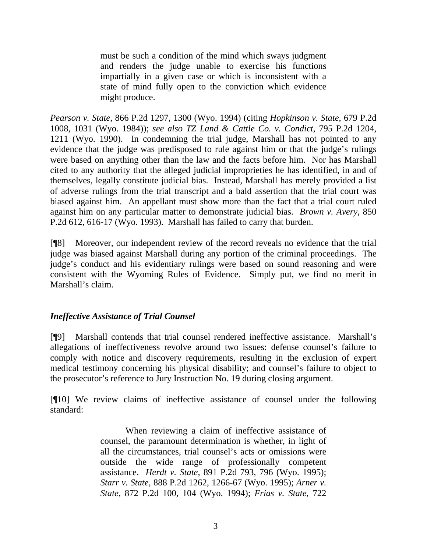must be such a condition of the mind which sways judgment and renders the judge unable to exercise his functions impartially in a given case or which is inconsistent with a state of mind fully open to the conviction which evidence might produce.

*Pearson v. State*, 866 P.2d 1297, 1300 (Wyo. 1994) (citing *Hopkinson v. State*, 679 P.2d 1008, 1031 (Wyo. 1984)); *see also TZ Land & Cattle Co. v. Condict*, 795 P.2d 1204, 1211 (Wyo. 1990). In condemning the trial judge, Marshall has not pointed to any evidence that the judge was predisposed to rule against him or that the judge's rulings were based on anything other than the law and the facts before him. Nor has Marshall cited to any authority that the alleged judicial improprieties he has identified, in and of themselves, legally constitute judicial bias. Instead, Marshall has merely provided a list of adverse rulings from the trial transcript and a bald assertion that the trial court was biased against him. An appellant must show more than the fact that a trial court ruled against him on any particular matter to demonstrate judicial bias. *Brown v. Avery*, 850 P.2d 612, 616-17 (Wyo. 1993). Marshall has failed to carry that burden.

[¶8] Moreover, our independent review of the record reveals no evidence that the trial judge was biased against Marshall during any portion of the criminal proceedings. The judge's conduct and his evidentiary rulings were based on sound reasoning and were consistent with the Wyoming Rules of Evidence. Simply put, we find no merit in Marshall's claim.

# *Ineffective Assistance of Trial Counsel*

[¶9] Marshall contends that trial counsel rendered ineffective assistance. Marshall's allegations of ineffectiveness revolve around two issues: defense counsel's failure to comply with notice and discovery requirements, resulting in the exclusion of expert medical testimony concerning his physical disability; and counsel's failure to object to the prosecutor's reference to Jury Instruction No. 19 during closing argument.

[¶10] We review claims of ineffective assistance of counsel under the following standard:

> When reviewing a claim of ineffective assistance of counsel, the paramount determination is whether, in light of all the circumstances, trial counsel's acts or omissions were outside the wide range of professionally competent assistance. *Herdt v. State*, 891 P.2d 793, 796 (Wyo. 1995); *Starr v. State*, 888 P.2d 1262, 1266-67 (Wyo. 1995); *Arner v. State*, 872 P.2d 100, 104 (Wyo. 1994); *Frias v. State*, 722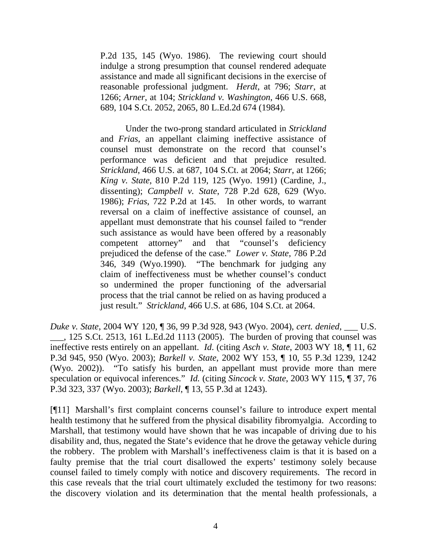P.2d 135, 145 (Wyo. 1986). The reviewing court should indulge a strong presumption that counsel rendered adequate assistance and made all significant decisions in the exercise of reasonable professional judgment. *Herdt*, at 796; *Starr*, at 1266; *Arner*, at 104; *Strickland v. Washington*, 466 U.S. 668, 689, 104 S.Ct. 2052, 2065, 80 L.Ed.2d 674 (1984).

Under the two-prong standard articulated in *Strickland* and *Frias*, an appellant claiming ineffective assistance of counsel must demonstrate on the record that counsel's performance was deficient and that prejudice resulted. *Strickland*, 466 U.S. at 687, 104 S.Ct. at 2064; *Starr*, at 1266; *King v. State*, 810 P.2d 119, 125 (Wyo. 1991) (Cardine, J., dissenting); *Campbell v. State*, 728 P.2d 628, 629 (Wyo. 1986); *Frias*, 722 P.2d at 145. In other words, to warrant reversal on a claim of ineffective assistance of counsel, an appellant must demonstrate that his counsel failed to "render such assistance as would have been offered by a reasonably competent attorney" and that "counsel's deficiency prejudiced the defense of the case." *Lower v. State*, 786 P.2d 346, 349 (Wyo.1990). "The benchmark for judging any claim of ineffectiveness must be whether counsel's conduct so undermined the proper functioning of the adversarial process that the trial cannot be relied on as having produced a just result." *Strickland*, 466 U.S. at 686, 104 S.Ct. at 2064.

*Duke v. State*, 2004 WY 120, ¶ 36, 99 P.3d 928, 943 (Wyo. 2004), *cert. denied*, \_\_\_ U.S. \_\_\_, 125 S.Ct. 2513, 161 L.Ed.2d 1113 (2005). The burden of proving that counsel was ineffective rests entirely on an appellant. *Id*. (citing *Asch v. State*, 2003 WY 18, ¶ 11, 62 P.3d 945, 950 (Wyo. 2003); *Barkell v. State*, 2002 WY 153, ¶ 10, 55 P.3d 1239, 1242 (Wyo. 2002)). "To satisfy his burden, an appellant must provide more than mere speculation or equivocal inferences." *Id.* (citing *Sincock v. State*, 2003 WY 115, ¶ 37, 76 P.3d 323, 337 (Wyo. 2003); *Barkell*, ¶ 13, 55 P.3d at 1243).

[¶11] Marshall's first complaint concerns counsel's failure to introduce expert mental health testimony that he suffered from the physical disability fibromyalgia. According to Marshall, that testimony would have shown that he was incapable of driving due to his disability and, thus, negated the State's evidence that he drove the getaway vehicle during the robbery. The problem with Marshall's ineffectiveness claim is that it is based on a faulty premise that the trial court disallowed the experts' testimony solely because counsel failed to timely comply with notice and discovery requirements. The record in this case reveals that the trial court ultimately excluded the testimony for two reasons: the discovery violation and its determination that the mental health professionals, a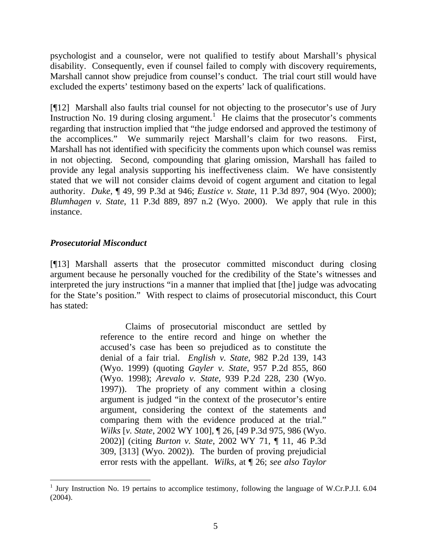psychologist and a counselor, were not qualified to testify about Marshall's physical disability. Consequently, even if counsel failed to comply with discovery requirements, Marshall cannot show prejudice from counsel's conduct. The trial court still would have excluded the experts' testimony based on the experts' lack of qualifications.

[¶12] Marshall also faults trial counsel for not objecting to the prosecutor's use of Jury Instruction No. [1](#page-5-0)9 during closing argument.<sup>1</sup> He claims that the prosecutor's comments regarding that instruction implied that "the judge endorsed and approved the testimony of the accomplices." We summarily reject Marshall's claim for two reasons. First, Marshall has not identified with specificity the comments upon which counsel was remiss in not objecting. Second, compounding that glaring omission, Marshall has failed to provide any legal analysis supporting his ineffectiveness claim. We have consistently stated that we will not consider claims devoid of cogent argument and citation to legal authority. *Duke*, ¶ 49, 99 P.3d at 946; *Eustice v. State*, 11 P.3d 897, 904 (Wyo. 2000); *Blumhagen v. State*, 11 P.3d 889, 897 n.2 (Wyo. 2000). We apply that rule in this instance.

# *Prosecutorial Misconduct*

[¶13] Marshall asserts that the prosecutor committed misconduct during closing argument because he personally vouched for the credibility of the State's witnesses and interpreted the jury instructions "in a manner that implied that [the] judge was advocating for the State's position." With respect to claims of prosecutorial misconduct, this Court has stated:

> Claims of prosecutorial misconduct are settled by reference to the entire record and hinge on whether the accused's case has been so prejudiced as to constitute the denial of a fair trial. *English v. State*, 982 P.2d 139, 143 (Wyo. 1999) (quoting *Gayler v. State*, 957 P.2d 855, 860 (Wyo. 1998); *Arevalo v. State*, 939 P.2d 228, 230 (Wyo. 1997)). The propriety of any comment within a closing argument is judged "in the context of the prosecutor's entire argument, considering the context of the statements and comparing them with the evidence produced at the trial." *Wilks* [*v. State*, 2002 WY 100], ¶ 26, [49 P.3d 975, 986 (Wyo. 2002)] (citing *Burton v. State*, 2002 WY 71, ¶ 11, 46 P.3d 309, [313] (Wyo. 2002)). The burden of proving prejudicial error rests with the appellant. *Wilks*, at ¶ 26; *see also Taylor*

<span id="page-5-0"></span><sup>&</sup>lt;sup>1</sup> Jury Instruction No. 19 pertains to accomplice testimony, following the language of W.Cr.P.J.I. 6.04 (2004).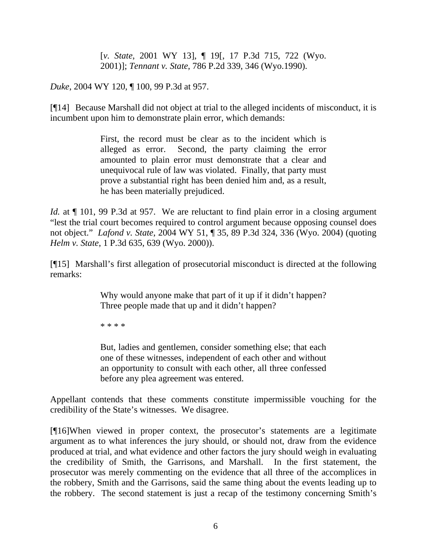[*v. State*, 2001 WY 13], ¶ 19[, 17 P.3d 715, 722 (Wyo. 2001)]; *Tennant v. State*, 786 P.2d 339, 346 (Wyo.1990).

*Duke*, 2004 WY 120, ¶ 100, 99 P.3d at 957.

[¶14] Because Marshall did not object at trial to the alleged incidents of misconduct, it is incumbent upon him to demonstrate plain error, which demands:

> First, the record must be clear as to the incident which is alleged as error. Second, the party claiming the error amounted to plain error must demonstrate that a clear and unequivocal rule of law was violated. Finally, that party must prove a substantial right has been denied him and, as a result, he has been materially prejudiced.

*Id.* at  $\P$  101, 99 P.3d at 957. We are reluctant to find plain error in a closing argument "lest the trial court becomes required to control argument because opposing counsel does not object." *Lafond v. State*, 2004 WY 51, ¶ 35, 89 P.3d 324, 336 (Wyo. 2004) (quoting *Helm v. State*, 1 P.3d 635, 639 (Wyo. 2000)).

[¶15] Marshall's first allegation of prosecutorial misconduct is directed at the following remarks:

> Why would anyone make that part of it up if it didn't happen? Three people made that up and it didn't happen?

\* \* \* \*

But, ladies and gentlemen, consider something else; that each one of these witnesses, independent of each other and without an opportunity to consult with each other, all three confessed before any plea agreement was entered.

Appellant contends that these comments constitute impermissible vouching for the credibility of the State's witnesses. We disagree.

[¶16]When viewed in proper context, the prosecutor's statements are a legitimate argument as to what inferences the jury should, or should not, draw from the evidence produced at trial, and what evidence and other factors the jury should weigh in evaluating the credibility of Smith, the Garrisons, and Marshall. In the first statement, the prosecutor was merely commenting on the evidence that all three of the accomplices in the robbery, Smith and the Garrisons, said the same thing about the events leading up to the robbery. The second statement is just a recap of the testimony concerning Smith's